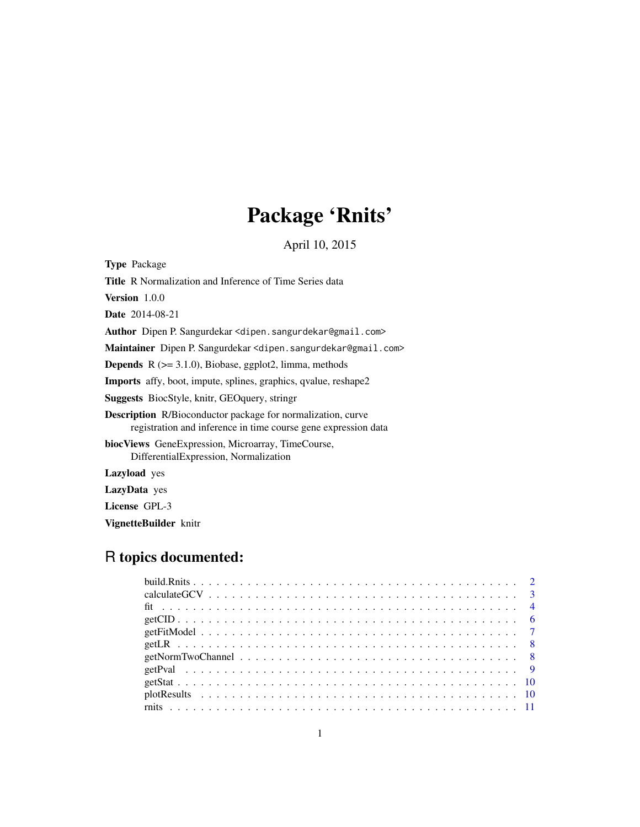# Package 'Rnits'

April 10, 2015

<span id="page-0-0"></span>

| <b>Type</b> Package                                                                                                                  |
|--------------------------------------------------------------------------------------------------------------------------------------|
| <b>Title.</b> R Normalization and Inference of Time Series data                                                                      |
| <b>Version</b> $1.0.0$                                                                                                               |
| <b>Date</b> 2014-08-21                                                                                                               |
| Author Dipen P. Sangurdekar <dipen.sangurdekar@gmail.com></dipen.sangurdekar@gmail.com>                                              |
| Maintainer Dipen P. Sangurdekar <dipen.sangurdekar@gmail.com></dipen.sangurdekar@gmail.com>                                          |
| <b>Depends</b> $R$ ( $>= 3.1.0$ ), Biobase, ggplot2, limma, methods                                                                  |
| <b>Imports</b> affy, boot, impute, splines, graphics, qvalue, reshape2                                                               |
| <b>Suggests</b> BiocStyle, knitr, GEO query, string                                                                                  |
| <b>Description</b> R/Bioconductor package for normalization, curve<br>registration and inference in time course gene expression data |
| <b>biocViews</b> GeneExpression, Microarray, TimeCourse,<br>DifferentialExpression, Normalization                                    |
| <b>Lazyload</b> yes                                                                                                                  |
| LazyData yes                                                                                                                         |
| License GPL-3                                                                                                                        |

VignetteBuilder knitr

## R topics documented: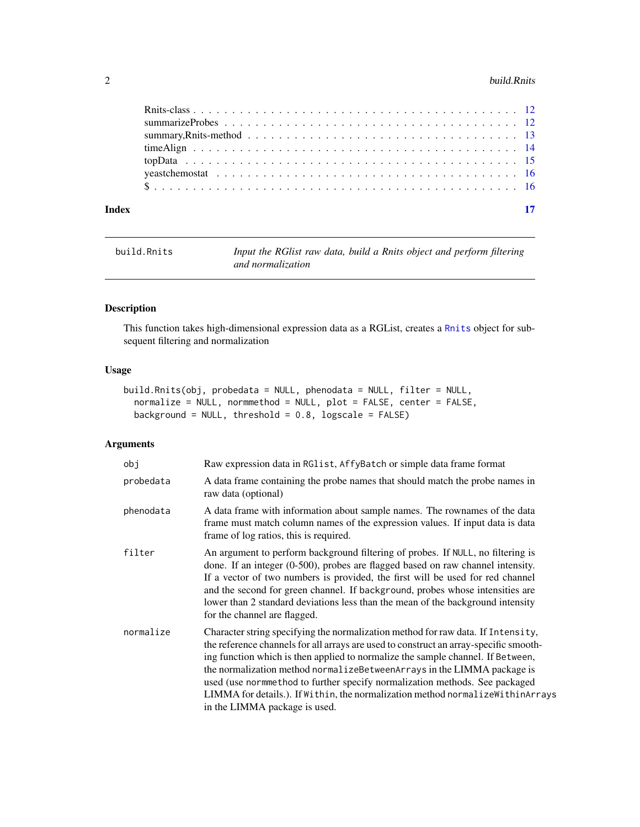#### <span id="page-1-0"></span>2 build.Rnits and the contract of the contract of the contract of the contract of the contract of the contract of the contract of the contract of the contract of the contract of the contract of the contract of the contract

| Index | 17 |  |
|-------|----|--|

```
build.Rnits Input the RGlist raw data, build a Rnits object and perform filtering
                       and normalization
```
### Description

This function takes high-dimensional expression data as a RGList, creates a [Rnits](#page-11-1) object for subsequent filtering and normalization

#### Usage

```
build.Rnits(obj, probedata = NULL, phenodata = NULL, filter = NULL,
 normalize = NULL, normmethod = NULL, plot = FALSE, center = FALSE,
 background = NULL, threshold = 0.8, logscale = FALSE)
```
### Arguments

| obj       | Raw expression data in RG1 ist, AffyBatch or simple data frame format                                                                                                                                                                                                                                                                                                                                                                                                                                                                       |
|-----------|---------------------------------------------------------------------------------------------------------------------------------------------------------------------------------------------------------------------------------------------------------------------------------------------------------------------------------------------------------------------------------------------------------------------------------------------------------------------------------------------------------------------------------------------|
| probedata | A data frame containing the probe names that should match the probe names in<br>raw data (optional)                                                                                                                                                                                                                                                                                                                                                                                                                                         |
| phenodata | A data frame with information about sample names. The rownames of the data<br>frame must match column names of the expression values. If input data is data<br>frame of log ratios, this is required.                                                                                                                                                                                                                                                                                                                                       |
| filter    | An argument to perform background filtering of probes. If NULL, no filtering is<br>done. If an integer $(0-500)$ , probes are flagged based on raw channel intensity.<br>If a vector of two numbers is provided, the first will be used for red channel<br>and the second for green channel. If background, probes whose intensities are<br>lower than 2 standard deviations less than the mean of the background intensity<br>for the channel are flagged.                                                                                 |
| normalize | Character string specifying the normalization method for raw data. If Intensity,<br>the reference channels for all arrays are used to construct an array-specific smooth-<br>ing function which is then applied to normalize the sample channel. If Between,<br>the normalization method normalizeBetweenArrays in the LIMMA package is<br>used (use normmethod to further specify normalization methods. See packaged<br>LIMMA for details.). If Within, the normalization method normalize Within Arrays<br>in the LIMMA package is used. |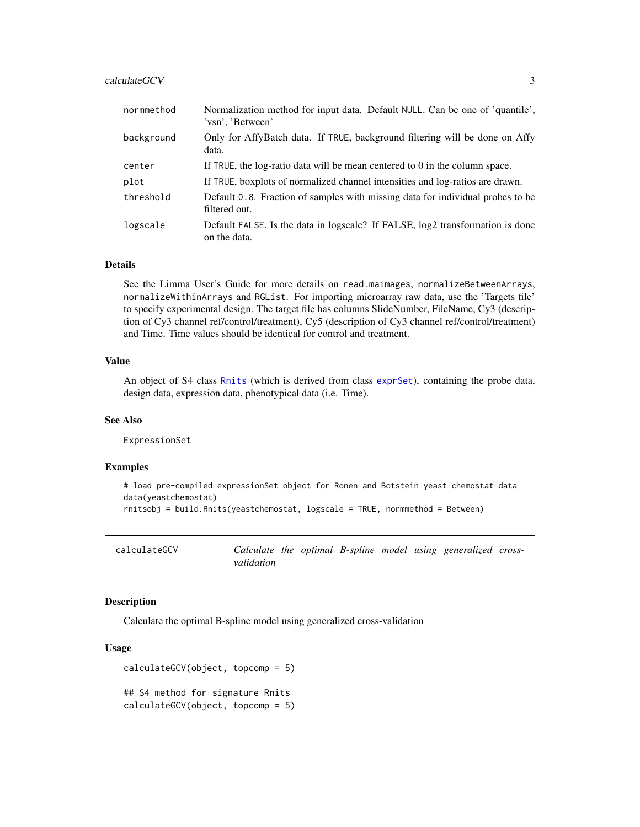#### <span id="page-2-0"></span>calculateGCV 3

| normmethod | Normalization method for input data. Default NULL. Can be one of 'quantile',<br>'vsn', 'Between' |
|------------|--------------------------------------------------------------------------------------------------|
| background | Only for AffyBatch data. If TRUE, background filtering will be done on Affy<br>data.             |
| center     | If TRUE, the log-ratio data will be mean centered to $0$ in the column space.                    |
| plot       | If TRUE, boxplots of normalized channel intensities and log-ratios are drawn.                    |
| threshold  | Default 0.8. Fraction of samples with missing data for individual probes to be<br>filtered out.  |
| logscale   | Default FALSE. Is the data in logscale? If FALSE, log2 transformation is done<br>on the data.    |

#### Details

See the Limma User's Guide for more details on read.maimages, normalizeBetweenArrays, normalizeWithinArrays and RGList. For importing microarray raw data, use the 'Targets file' to specify experimental design. The target file has columns SlideNumber, FileName, Cy3 (description of Cy3 channel ref/control/treatment), Cy5 (description of Cy3 channel ref/control/treatment) and Time. Time values should be identical for control and treatment.

#### Value

An object of S4 class [Rnits](#page-11-1) (which is derived from class [exprSet](#page-0-0)), containing the probe data, design data, expression data, phenotypical data (i.e. Time).

#### See Also

ExpressionSet

#### Examples

```
# load pre-compiled expressionSet object for Ronen and Botstein yeast chemostat data
data(yeastchemostat)
rnitsobj = build.Rnits(yeastchemostat, logscale = TRUE, normmethod = Between)
```
calculateGCV *Calculate the optimal B-spline model using generalized crossvalidation*

#### Description

Calculate the optimal B-spline model using generalized cross-validation

#### Usage

```
calculateGCV(object, topcomp = 5)
## S4 method for signature Rnits
calculateGCV(object, topcomp = 5)
```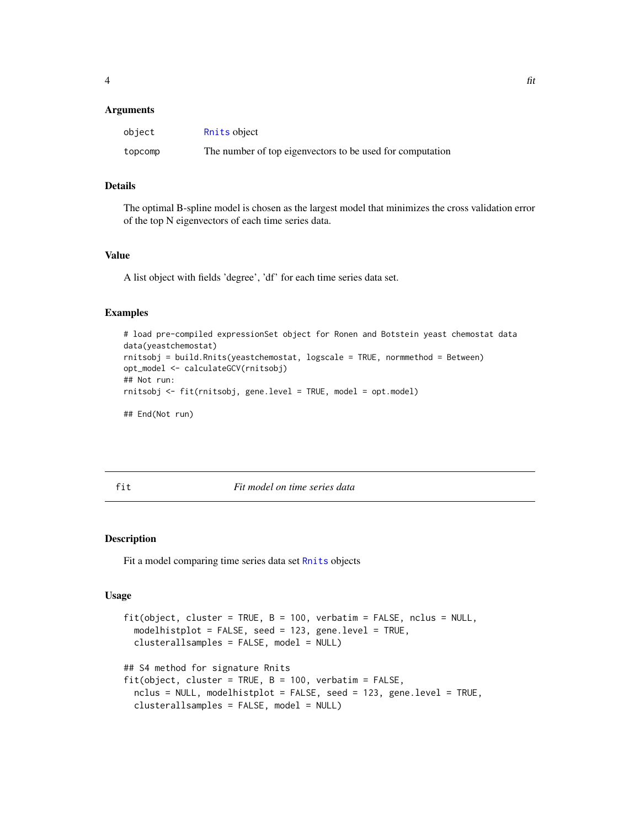#### <span id="page-3-0"></span>**Arguments**

| object  | Rnits object                                              |
|---------|-----------------------------------------------------------|
| topcomp | The number of top eigenvectors to be used for computation |

#### Details

The optimal B-spline model is chosen as the largest model that minimizes the cross validation error of the top N eigenvectors of each time series data.

#### Value

A list object with fields 'degree', 'df' for each time series data set.

#### Examples

```
# load pre-compiled expressionSet object for Ronen and Botstein yeast chemostat data
data(yeastchemostat)
rnitsobj = build.Rnits(yeastchemostat, logscale = TRUE, normmethod = Between)
opt_model <- calculateGCV(rnitsobj)
## Not run:
rnitsobj <- fit(rnitsobj, gene.level = TRUE, model = opt.model)
## End(Not run)
```
fit *Fit model on time series data*

#### Description

Fit a model comparing time series data set [Rnits](#page-11-1) objects

#### Usage

```
fit(object, cluster = TRUE, B = 100, verbatim = FALSE, nclus = NULL,modelhistplot = FALSE, seed = 123, gene.level = TRUE,
 clusterallsamples = FALSE, model = NULL)
## S4 method for signature Rnits
fit(object, cluster = TRUE, B = 100, verbatim = FALSE,nclus = NULL, modelhistplot = FALSE, seed = 123, gene.level = TRUE,
 clusterallsamples = FALSE, model = NULL)
```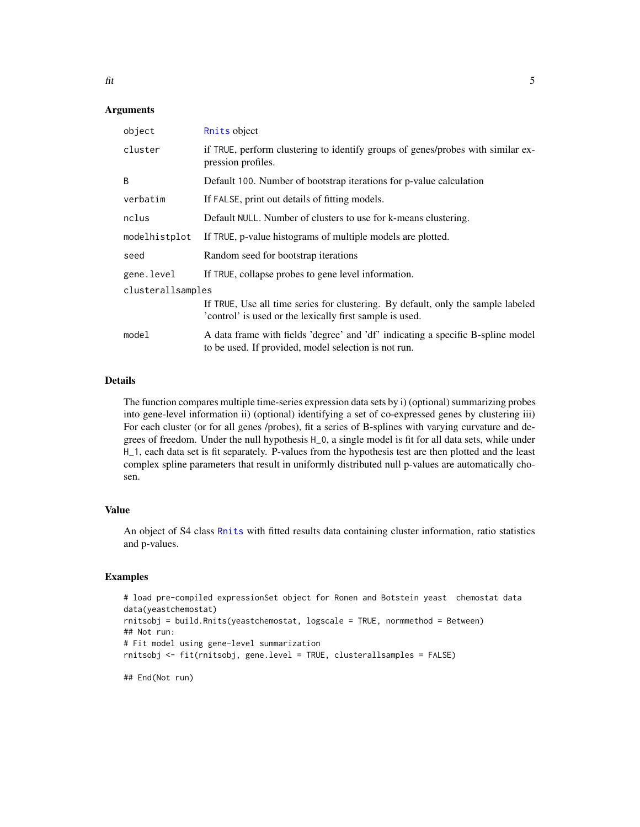#### **Arguments**

| object            | Rnits object                                                                                                                                 |  |
|-------------------|----------------------------------------------------------------------------------------------------------------------------------------------|--|
| cluster           | if TRUE, perform clustering to identify groups of genes/probes with similar ex-<br>pression profiles.                                        |  |
| B                 | Default 100. Number of bootstrap iterations for p-value calculation                                                                          |  |
| verbatim          | If FALSE, print out details of fitting models.                                                                                               |  |
| nclus             | Default NULL. Number of clusters to use for k-means clustering.                                                                              |  |
| modelhistplot     | If TRUE, p-value histograms of multiple models are plotted.                                                                                  |  |
| seed              | Random seed for bootstrap iterations                                                                                                         |  |
| gene.level        | If TRUE, collapse probes to gene level information.                                                                                          |  |
| clusterallsamples |                                                                                                                                              |  |
|                   | If TRUE, Use all time series for clustering. By default, only the sample labeled<br>'control' is used or the lexically first sample is used. |  |
| model             | A data frame with fields 'degree' and 'df' indicating a specific B-spline model<br>to be used. If provided, model selection is not run.      |  |
|                   |                                                                                                                                              |  |

### Details

The function compares multiple time-series expression data sets by i) (optional) summarizing probes into gene-level information ii) (optional) identifying a set of co-expressed genes by clustering iii) For each cluster (or for all genes /probes), fit a series of B-splines with varying curvature and degrees of freedom. Under the null hypothesis H\_0, a single model is fit for all data sets, while under H\_1, each data set is fit separately. P-values from the hypothesis test are then plotted and the least complex spline parameters that result in uniformly distributed null p-values are automatically chosen.

#### Value

An object of S4 class [Rnits](#page-11-1) with fitted results data containing cluster information, ratio statistics and p-values.

#### Examples

```
# load pre-compiled expressionSet object for Ronen and Botstein yeast chemostat data
data(yeastchemostat)
rnitsobj = build.Rnits(yeastchemostat, logscale = TRUE, normmethod = Between)
## Not run:
# Fit model using gene-level summarization
rnitsobj <- fit(rnitsobj, gene.level = TRUE, clusterallsamples = FALSE)
```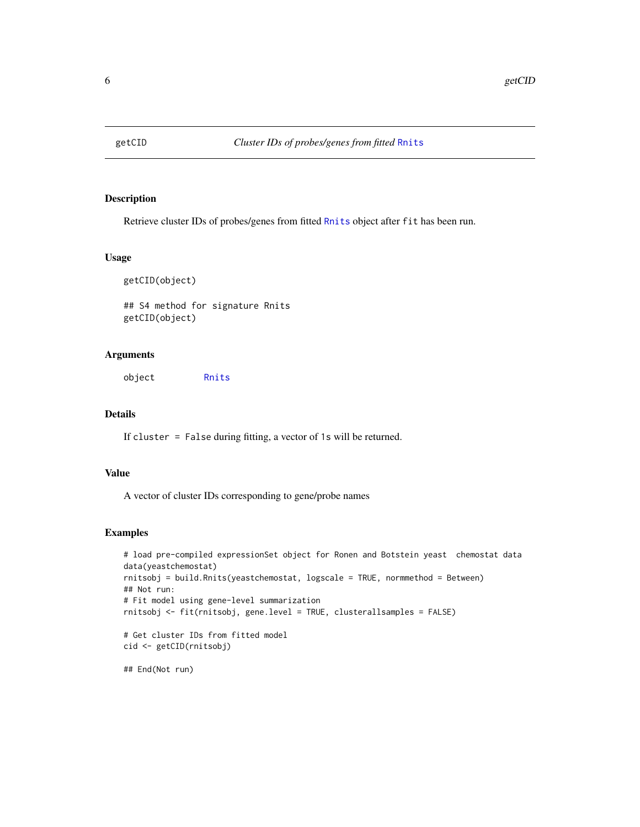<span id="page-5-0"></span>

Retrieve cluster IDs of probes/genes from fitted [Rnits](#page-11-1) object after fit has been run.

#### Usage

```
getCID(object)
```
## S4 method for signature Rnits getCID(object)

#### Arguments

object [Rnits](#page-11-1)

#### Details

If cluster = False during fitting, a vector of 1s will be returned.

### Value

A vector of cluster IDs corresponding to gene/probe names

### Examples

```
# load pre-compiled expressionSet object for Ronen and Botstein yeast chemostat data
data(yeastchemostat)
rnitsobj = build.Rnits(yeastchemostat, logscale = TRUE, normmethod = Between)
## Not run:
# Fit model using gene-level summarization
rnitsobj <- fit(rnitsobj, gene.level = TRUE, clusterallsamples = FALSE)
# Get cluster IDs from fitted model
cid <- getCID(rnitsobj)
```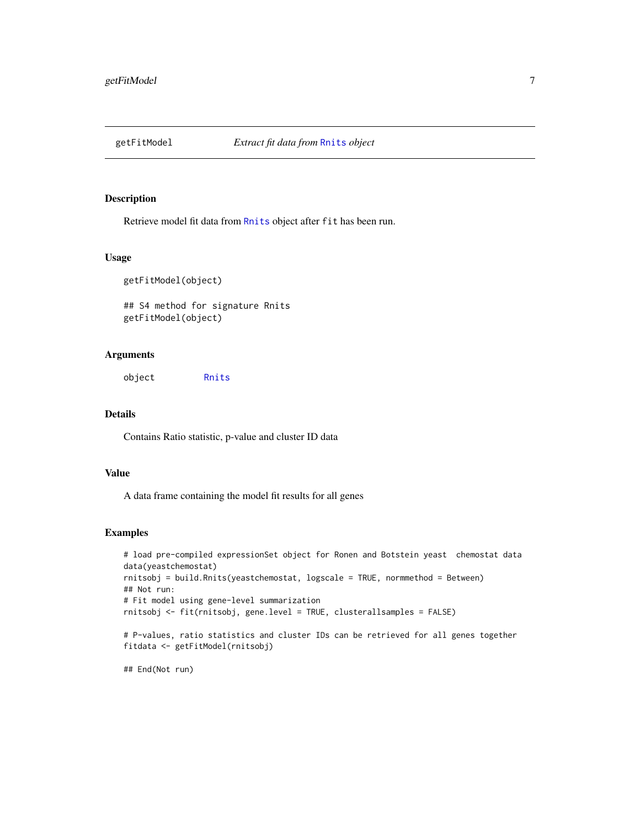<span id="page-6-0"></span>

Retrieve model fit data from [Rnits](#page-11-1) object after fit has been run.

#### Usage

```
getFitModel(object)
```
## S4 method for signature Rnits getFitModel(object)

#### Arguments

object [Rnits](#page-11-1)

#### Details

Contains Ratio statistic, p-value and cluster ID data

#### Value

A data frame containing the model fit results for all genes

#### Examples

```
# load pre-compiled expressionSet object for Ronen and Botstein yeast chemostat data
data(yeastchemostat)
rnitsobj = build.Rnits(yeastchemostat, logscale = TRUE, normmethod = Between)
## Not run:
# Fit model using gene-level summarization
rnitsobj <- fit(rnitsobj, gene.level = TRUE, clusterallsamples = FALSE)
# P-values, ratio statistics and cluster IDs can be retrieved for all genes together
fitdata <- getFitModel(rnitsobj)
```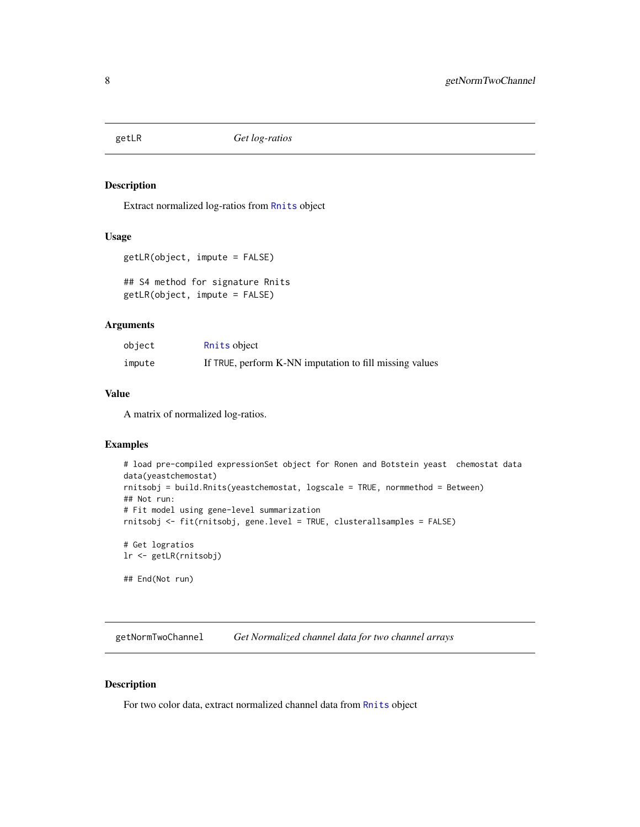<span id="page-7-0"></span>

Extract normalized log-ratios from [Rnits](#page-11-1) object

#### Usage

```
getLR(object, impute = FALSE)
```

```
## S4 method for signature Rnits
getLR(object, impute = FALSE)
```
#### Arguments

| object | Rnits object                                            |
|--------|---------------------------------------------------------|
| impute | If TRUE, perform K-NN imputation to fill missing values |

#### Value

A matrix of normalized log-ratios.

### Examples

```
# load pre-compiled expressionSet object for Ronen and Botstein yeast chemostat data
data(yeastchemostat)
rnitsobj = build.Rnits(yeastchemostat, logscale = TRUE, normmethod = Between)
## Not run:
# Fit model using gene-level summarization
rnitsobj <- fit(rnitsobj, gene.level = TRUE, clusterallsamples = FALSE)
# Get logratios
lr <- getLR(rnitsobj)
## End(Not run)
```
getNormTwoChannel *Get Normalized channel data for two channel arrays*

#### Description

For two color data, extract normalized channel data from [Rnits](#page-11-1) object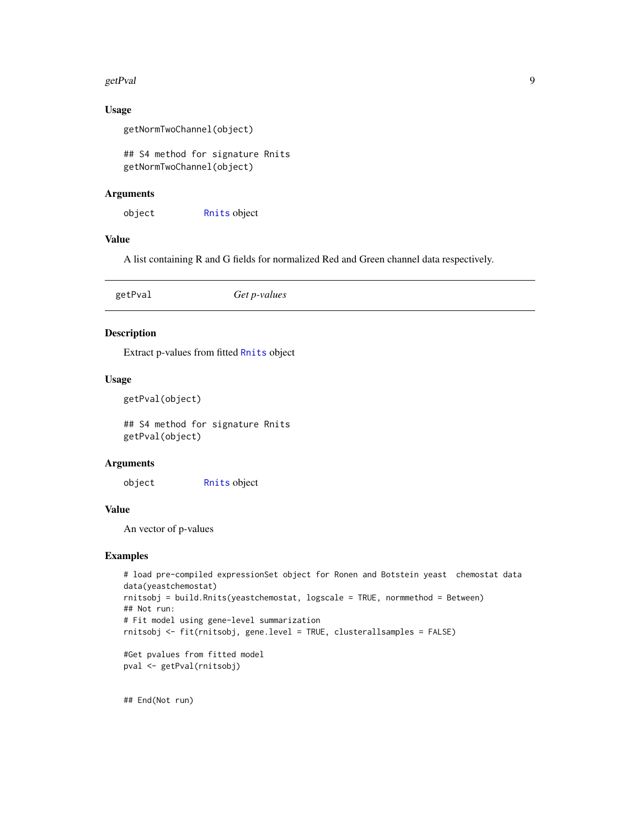#### <span id="page-8-0"></span>getPval 9

### Usage

```
getNormTwoChannel(object)
```
## S4 method for signature Rnits getNormTwoChannel(object)

#### Arguments

object [Rnits](#page-11-1) object

#### Value

A list containing R and G fields for normalized Red and Green channel data respectively.

| Get p-values<br>getPval |
|-------------------------|
|-------------------------|

### Description

Extract p-values from fitted [Rnits](#page-11-1) object

#### Usage

```
getPval(object)
```
## S4 method for signature Rnits getPval(object)

#### Arguments

object [Rnits](#page-11-1) object

#### Value

An vector of p-values

#### Examples

```
# load pre-compiled expressionSet object for Ronen and Botstein yeast chemostat data
data(yeastchemostat)
rnitsobj = build.Rnits(yeastchemostat, logscale = TRUE, normmethod = Between)
## Not run:
# Fit model using gene-level summarization
rnitsobj <- fit(rnitsobj, gene.level = TRUE, clusterallsamples = FALSE)
#Get pvalues from fitted model
```

```
pval <- getPval(rnitsobj)
```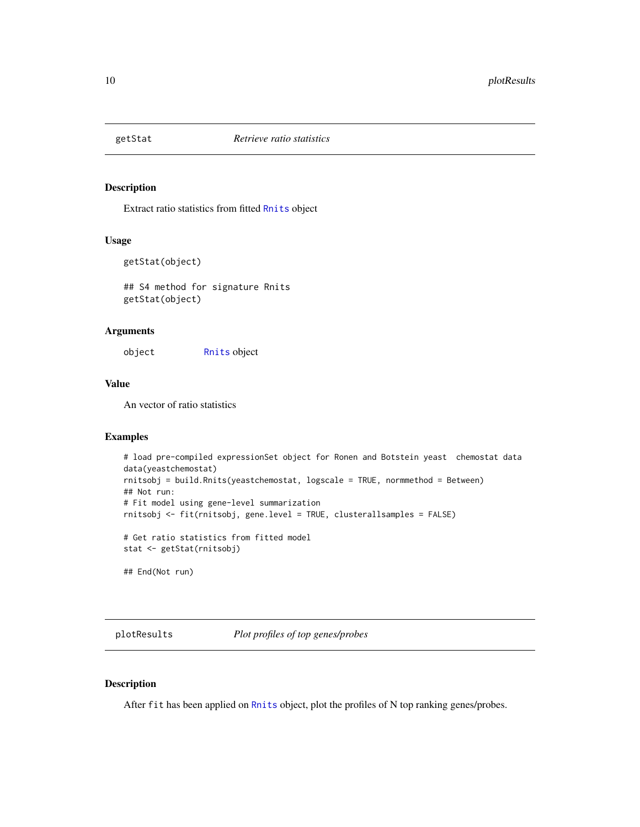<span id="page-9-0"></span>

Extract ratio statistics from fitted [Rnits](#page-11-1) object

#### Usage

```
getStat(object)
```
## S4 method for signature Rnits getStat(object)

#### Arguments

object [Rnits](#page-11-1) object

#### Value

An vector of ratio statistics

### Examples

```
# load pre-compiled expressionSet object for Ronen and Botstein yeast chemostat data
data(yeastchemostat)
rnitsobj = build.Rnits(yeastchemostat, logscale = TRUE, normmethod = Between)
## Not run:
# Fit model using gene-level summarization
rnitsobj <- fit(rnitsobj, gene.level = TRUE, clusterallsamples = FALSE)
# Get ratio statistics from fitted model
stat <- getStat(rnitsobj)
```
## End(Not run)

plotResults *Plot profiles of top genes/probes*

### Description

After fit has been applied on [Rnits](#page-11-1) object, plot the profiles of N top ranking genes/probes.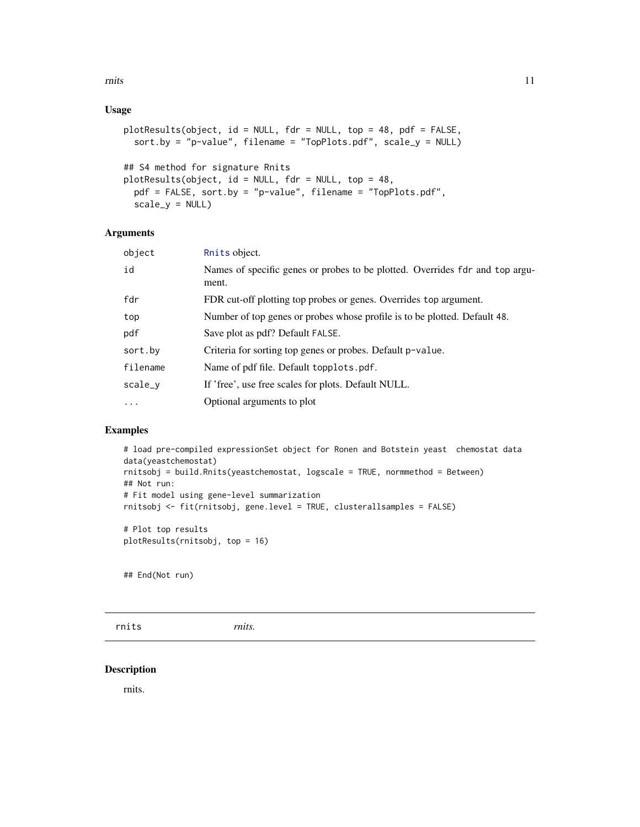### <span id="page-10-0"></span>Usage

```
plotResults(object, id = NULL, fdr = NULL, top = 48, pdf = FALSE,
  sort.by = "p-value", filename = "TopPlots.pdf", scale_y = NULL)
## S4 method for signature Rnits
```

```
plotResults(object, id = NULL, fdr = NULL, top = 48,
 pdf = FALSE, sort.by = "p-value", filename = "TopPlots.pdf",
  scale_y = NULL
```
### Arguments

| object                  | Rnits object.                                                                         |
|-------------------------|---------------------------------------------------------------------------------------|
| id                      | Names of specific genes or probes to be plotted. Overrides fdr and top argu-<br>ment. |
| fdr                     | FDR cut-off plotting top probes or genes. Overrides top argument.                     |
| top                     | Number of top genes or probes whose profile is to be plotted. Default 48.             |
| pdf                     | Save plot as pdf? Default FALSE.                                                      |
| sort.by                 | Criteria for sorting top genes or probes. Default p-value.                            |
| filename                | Name of pdf file. Default topplots.pdf.                                               |
| scale_y                 | If 'free', use free scales for plots. Default NULL.                                   |
| $\cdot$ $\cdot$ $\cdot$ | Optional arguments to plot                                                            |
|                         |                                                                                       |

#### Examples

```
# load pre-compiled expressionSet object for Ronen and Botstein yeast chemostat data
data(yeastchemostat)
rnitsobj = build.Rnits(yeastchemostat, logscale = TRUE, normmethod = Between)
## Not run:
# Fit model using gene-level summarization
rnitsobj <- fit(rnitsobj, gene.level = TRUE, clusterallsamples = FALSE)
# Plot top results
plotResults(rnitsobj, top = 16)
```
## End(Not run)

rnits *rnits.*

#### Description

rnits.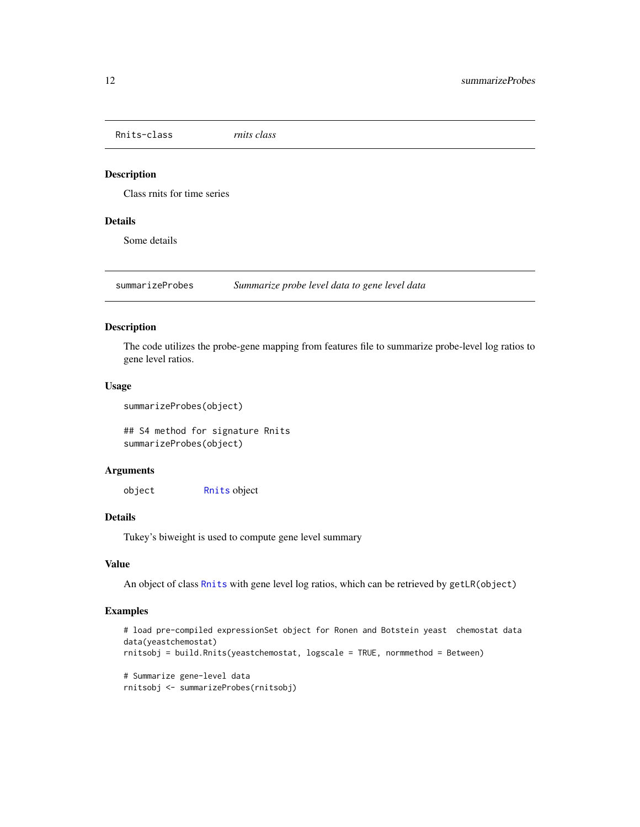<span id="page-11-1"></span><span id="page-11-0"></span>Rnits-class *rnits class*

#### Description

Class rnits for time series

#### Details

Some details

summarizeProbes *Summarize probe level data to gene level data*

#### Description

The code utilizes the probe-gene mapping from features file to summarize probe-level log ratios to gene level ratios.

#### Usage

```
summarizeProbes(object)
```
## S4 method for signature Rnits summarizeProbes(object)

### Arguments

object [Rnits](#page-11-1) object

### Details

Tukey's biweight is used to compute gene level summary

#### Value

An object of class [Rnits](#page-11-1) with gene level log ratios, which can be retrieved by getLR(object)

#### Examples

```
# load pre-compiled expressionSet object for Ronen and Botstein yeast chemostat data
data(yeastchemostat)
rnitsobj = build.Rnits(yeastchemostat, logscale = TRUE, normmethod = Between)
# Summarize gene-level data
rnitsobj <- summarizeProbes(rnitsobj)
```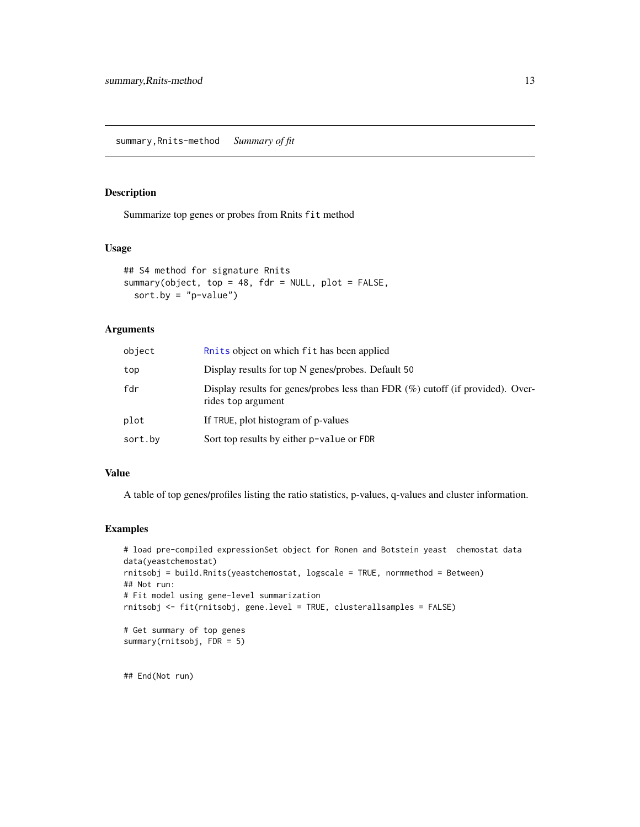<span id="page-12-0"></span>Summarize top genes or probes from Rnits fit method

#### Usage

```
## S4 method for signature Rnits
summary(object, top = 48, fdr = NULL, plot = FALSE,
 sort.by = "p-value")
```
### Arguments

| object  | Ruits object on which fit has been applied                                                              |
|---------|---------------------------------------------------------------------------------------------------------|
| top     | Display results for top N genes/probes. Default 50                                                      |
| fdr     | Display results for genes/probes less than FDR $(\%)$ cutoff (if provided). Over-<br>rides top argument |
| plot    | If TRUE, plot histogram of p-values                                                                     |
| sort.bv | Sort top results by either p-value or FDR                                                               |

### Value

A table of top genes/profiles listing the ratio statistics, p-values, q-values and cluster information.

#### Examples

```
# load pre-compiled expressionSet object for Ronen and Botstein yeast chemostat data
data(yeastchemostat)
rnitsobj = build.Rnits(yeastchemostat, logscale = TRUE, normmethod = Between)
## Not run:
# Fit model using gene-level summarization
rnitsobj <- fit(rnitsobj, gene.level = TRUE, clusterallsamples = FALSE)
# Get summary of top genes
summary(rnitsobj, FDR = 5)
```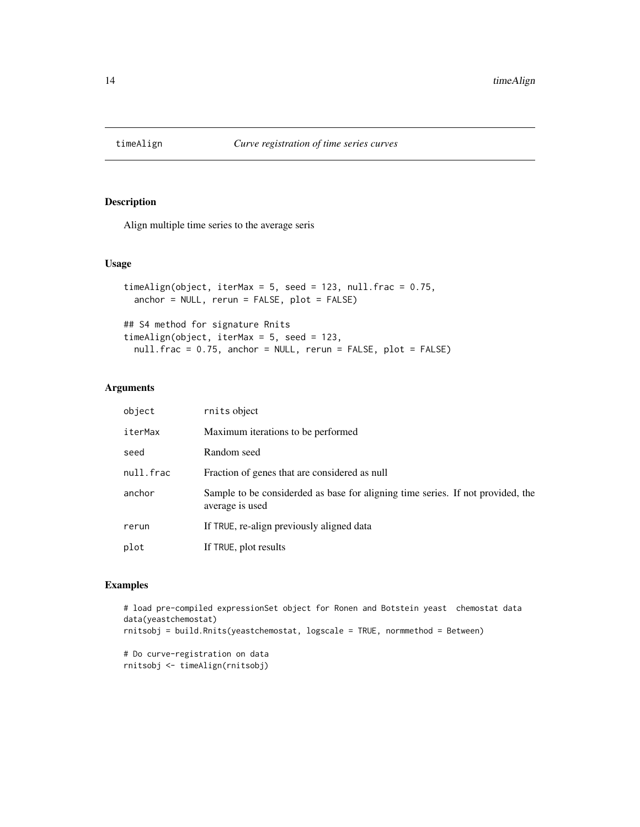<span id="page-13-0"></span>

Align multiple time series to the average seris

### Usage

```
timeAlign(object, iterMax = 5, seed = 123, null.frac = 0.75,
 anchor = NULL, rerun = FALSE, plot = FALSE)
## S4 method for signature Rnits
timeAlign(object, iterMax = 5, seed = 123,
  null.frac = 0.75, anchor = NULL, rerun = FALSE, plot = FALSE)
```
#### Arguments

| object    | rnits object                                                                                       |
|-----------|----------------------------------------------------------------------------------------------------|
| iterMax   | Maximum iterations to be performed.                                                                |
| seed      | Random seed                                                                                        |
| null.frac | Fraction of genes that are considered as null                                                      |
| anchor    | Sample to be considerded as base for aligning time series. If not provided, the<br>average is used |
| rerun     | If TRUE, re-align previously aligned data                                                          |
| plot      | If TRUE, plot results                                                                              |

### Examples

```
# load pre-compiled expressionSet object for Ronen and Botstein yeast chemostat data
data(yeastchemostat)
rnitsobj = build.Rnits(yeastchemostat, logscale = TRUE, normmethod = Between)
```
# Do curve-registration on data rnitsobj <- timeAlign(rnitsobj)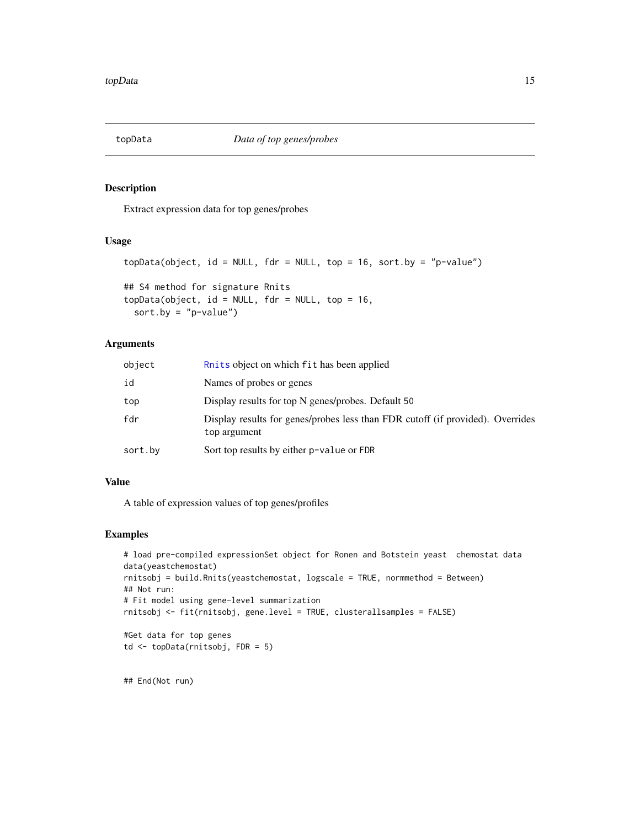<span id="page-14-0"></span>

Extract expression data for top genes/probes

#### Usage

```
topData(object, id = NULL, fdr = NULL, top = 16, sort.py = "p-value")## S4 method for signature Rnits
topData(object, id = NULL, fdr = NULL, top = 16,
 sort.by = "p-value")
```
### Arguments

| object  | Ruits object on which fit has been applied                                                     |
|---------|------------------------------------------------------------------------------------------------|
| id      | Names of probes or genes                                                                       |
| top     | Display results for top N genes/probes. Default 50                                             |
| fdr     | Display results for genes/probes less than FDR cutoff (if provided). Overrides<br>top argument |
| sort.by | Sort top results by either p-value or FDR                                                      |

#### Value

A table of expression values of top genes/profiles

#### Examples

```
# load pre-compiled expressionSet object for Ronen and Botstein yeast chemostat data
data(yeastchemostat)
rnitsobj = build.Rnits(yeastchemostat, logscale = TRUE, normmethod = Between)
## Not run:
# Fit model using gene-level summarization
rnitsobj <- fit(rnitsobj, gene.level = TRUE, clusterallsamples = FALSE)
#Get data for top genes
td <- topData(rnitsobj, FDR = 5)
```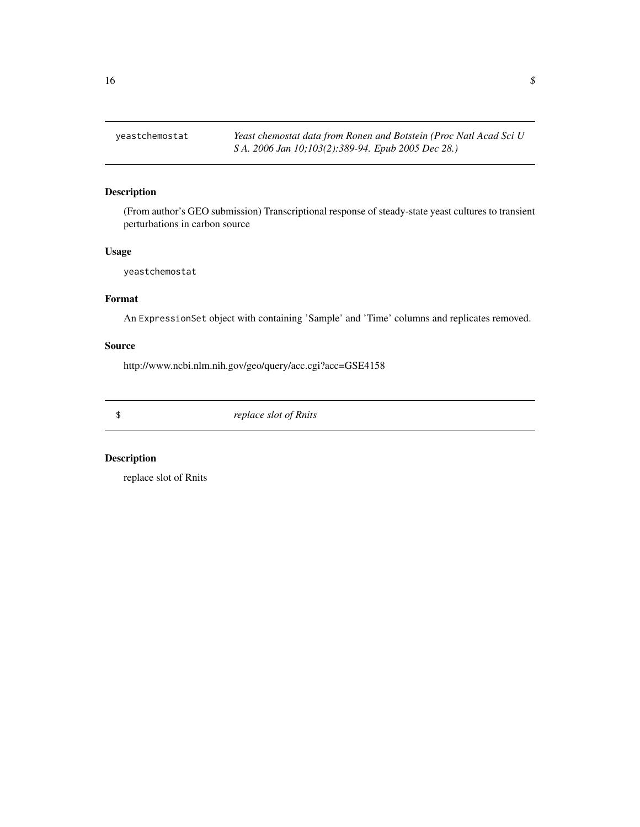<span id="page-15-0"></span>yeastchemostat *Yeast chemostat data from Ronen and Botstein (Proc Natl Acad Sci U S A. 2006 Jan 10;103(2):389-94. Epub 2005 Dec 28.)*

### Description

(From author's GEO submission) Transcriptional response of steady-state yeast cultures to transient perturbations in carbon source

### Usage

yeastchemostat

### Format

An ExpressionSet object with containing 'Sample' and 'Time' columns and replicates removed.

#### Source

http://www.ncbi.nlm.nih.gov/geo/query/acc.cgi?acc=GSE4158

\$ *replace slot of Rnits*

### Description

replace slot of Rnits